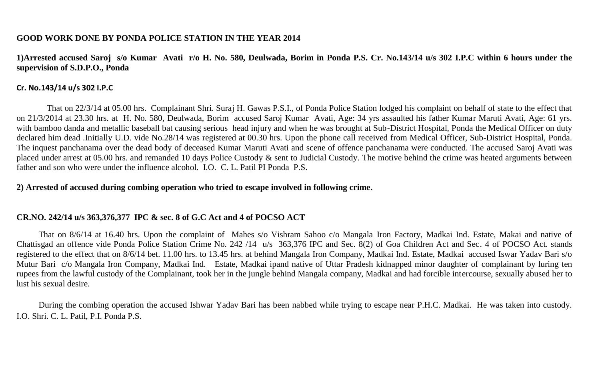## **GOOD WORK DONE BY PONDA POLICE STATION IN THE YEAR 2014**

**1)Arrested accused Saroj s/o Kumar Avati r/o H. No. 580, Deulwada, Borim in Ponda P.S. Cr. No.143/14 u/s 302 I.P.C within 6 hours under the supervision of S.D.P.O., Ponda**

## **Cr. No.143/14 u/s 302 I.P.C**

 That on 22/3/14 at 05.00 hrs. Complainant Shri. Suraj H. Gawas P.S.I., of Ponda Police Station lodged his complaint on behalf of state to the effect that on 21/3/2014 at 23.30 hrs. at H. No. 580, Deulwada, Borim accused Saroj Kumar Avati, Age: 34 yrs assaulted his father Kumar Maruti Avati, Age: 61 yrs. with bamboo danda and metallic baseball bat causing serious head injury and when he was brought at Sub-District Hospital, Ponda the Medical Officer on duty declared him dead .Initially U.D. vide No.28/14 was registered at 00.30 hrs. Upon the phone call received from Medical Officer, Sub-District Hospital, Ponda. The inquest panchanama over the dead body of deceased Kumar Maruti Avati and scene of offence panchanama were conducted. The accused Saroj Avati was placed under arrest at 05.00 hrs. and remanded 10 days Police Custody & sent to Judicial Custody. The motive behind the crime was heated arguments between father and son who were under the influence alcohol. I.O. C. L. Patil PI Ponda P.S.

## **2) Arrested of accused during combing operation who tried to escape involved in following crime.**

# **CR.NO. 242/14 u/s 363,376,377 IPC & sec. 8 of G.C Act and 4 of POCSO ACT**

That on 8/6/14 at 16.40 hrs. Upon the complaint of Mahes s/o Vishram Sahoo c/o Mangala Iron Factory, Madkai Ind. Estate, Makai and native of Chattisgad an offence vide Ponda Police Station Crime No. 242 /14 u/s 363,376 IPC and Sec. 8(2) of Goa Children Act and Sec. 4 of POCSO Act. stands registered to the effect that on 8/6/14 bet. 11.00 hrs. to 13.45 hrs. at behind Mangala Iron Company, Madkai Ind. Estate, Madkai accused Iswar Yadav Bari s/o Mutur Bari c/o Mangala Iron Company, Madkai Ind. Estate, Madkai ipand native of Uttar Pradesh kidnapped minor daughter of complainant by luring ten rupees from the lawful custody of the Complainant, took her in the jungle behind Mangala company, Madkai and had forcible intercourse, sexually abused her to lust his sexual desire.

During the combing operation the accused Ishwar Yadav Bari has been nabbed while trying to escape near P.H.C. Madkai. He was taken into custody. I.O. Shri. C. L. Patil, P.I. Ponda P.S.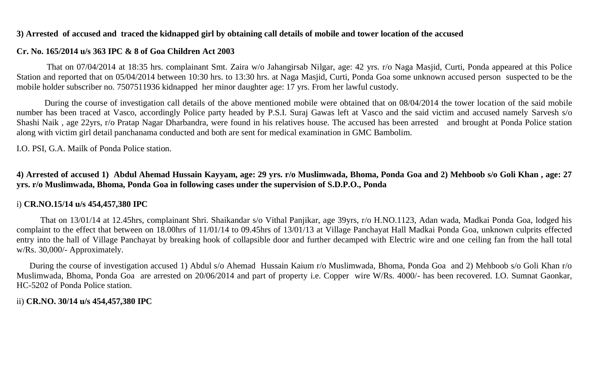## **3) Arrested of accused and traced the kidnapped girl by obtaining call details of mobile and tower location of the accused**

## **Cr. No. 165/2014 u/s 363 IPC & 8 of Goa Children Act 2003**

 That on 07/04/2014 at 18:35 hrs. complainant Smt. Zaira w/o Jahangirsab Nilgar, age: 42 yrs. r/o Naga Masjid, Curti, Ponda appeared at this Police Station and reported that on 05/04/2014 between 10:30 hrs. to 13:30 hrs. at Naga Masjid, Curti, Ponda Goa some unknown accused person suspected to be the mobile holder subscriber no. 7507511936 kidnapped her minor daughter age: 17 yrs. From her lawful custody.

 During the course of investigation call details of the above mentioned mobile were obtained that on 08/04/2014 the tower location of the said mobile number has been traced at Vasco, accordingly Police party headed by P.S.I. Suraj Gawas left at Vasco and the said victim and accused namely Sarvesh s/o Shashi Naik , age 22yrs, r/o Pratap Nagar Dharbandra, were found in his relatives house. The accused has been arrested and brought at Ponda Police station along with victim girl detail panchanama conducted and both are sent for medical examination in GMC Bambolim.

I.O. PSI, G.A. Mailk of Ponda Police station.

**4) Arrested of accused 1) Abdul Ahemad Hussain Kayyam, age: 29 yrs. r/o Muslimwada, Bhoma, Ponda Goa and 2) Mehboob s/o Goli Khan , age: 27 yrs. r/o Muslimwada, Bhoma, Ponda Goa in following cases under the supervision of S.D.P.O., Ponda** 

## i) **CR.NO.15/14 u/s 454,457,380 IPC**

 That on 13/01/14 at 12.45hrs, complainant Shri. Shaikandar s/o Vithal Panjikar, age 39yrs, r/o H.NO.1123, Adan wada, Madkai Ponda Goa, lodged his complaint to the effect that between on 18.00hrs of 11/01/14 to 09.45hrs of 13/01/13 at Village Panchayat Hall Madkai Ponda Goa, unknown culprits effected entry into the hall of Village Panchayat by breaking hook of collapsible door and further decamped with Electric wire and one ceiling fan from the hall total w/Rs. 30,000/- Approximately.

 During the course of investigation accused 1) Abdul s/o Ahemad Hussain Kaium r/o Muslimwada, Bhoma, Ponda Goa and 2) Mehboob s/o Goli Khan r/o Muslimwada, Bhoma, Ponda Goa are arrested on 20/06/2014 and part of property i.e. Copper wire W/Rs. 4000/- has been recovered. I.O. Sumnat Gaonkar, HC-5202 of Ponda Police station.

ii) **CR.NO. 30/14 u/s 454,457,380 IPC**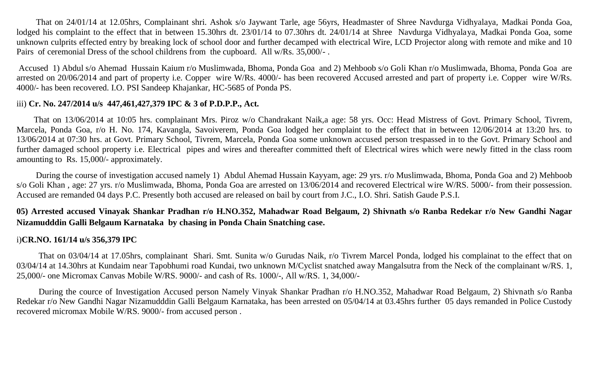That on 24/01/14 at 12.05hrs, Complainant shri. Ashok s/o Jaywant Tarle, age 56yrs, Headmaster of Shree Navdurga Vidhyalaya, Madkai Ponda Goa, lodged his complaint to the effect that in between 15.30hrs dt. 23/01/14 to 07.30hrs dt. 24/01/14 at Shree Navdurga Vidhyalaya, Madkai Ponda Goa, some unknown culprits effected entry by breaking lock of school door and further decamped with electrical Wire, LCD Projector along with remote and mike and 10 Pairs of ceremonial Dress of the school childrens from the cupboard. All w/Rs. 35,000/-.

Accused 1) Abdul s/o Ahemad Hussain Kaium r/o Muslimwada, Bhoma, Ponda Goa and 2) Mehboob s/o Goli Khan r/o Muslimwada, Bhoma, Ponda Goa are arrested on 20/06/2014 and part of property i.e. Copper wire W/Rs. 4000/- has been recovered Accused arrested and part of property i.e. Copper wire W/Rs. 4000/- has been recovered. I.O. PSI Sandeep Khajankar, HC-5685 of Ponda PS.

## iii) **Cr. No. 247/2014 u/s 447,461,427,379 IPC & 3 of P.D.P.P., Act.**

 That on 13/06/2014 at 10:05 hrs. complainant Mrs. Piroz w/o Chandrakant Naik,a age: 58 yrs. Occ: Head Mistress of Govt. Primary School, Tivrem, Marcela, Ponda Goa, r/o H. No. 174, Kavangla, Savoiverem, Ponda Goa lodged her complaint to the effect that in between 12/06/2014 at 13:20 hrs. to 13/06/2014 at 07:30 hrs. at Govt. Primary School, Tivrem, Marcela, Ponda Goa some unknown accused person trespassed in to the Govt. Primary School and further damaged school property i.e. Electrical pipes and wires and thereafter committed theft of Electrical wires which were newly fitted in the class room amounting to Rs. 15,000/- approximately.

 During the course of investigation accused namely 1) Abdul Ahemad Hussain Kayyam, age: 29 yrs. r/o Muslimwada, Bhoma, Ponda Goa and 2) Mehboob s/o Goli Khan , age: 27 yrs. r/o Muslimwada, Bhoma, Ponda Goa are arrested on 13/06/2014 and recovered Electrical wire W/RS. 5000/- from their possession. Accused are remanded 04 days P.C. Presently both accused are released on bail by court from J.C., I.O. Shri. Satish Gaude P.S.I.

**05) Arrested accused Vinayak Shankar Pradhan r/o H.NO.352, Mahadwar Road Belgaum, 2) Shivnath s/o Ranba Redekar r/o New Gandhi Nagar Nizamudddin Galli Belgaum Karnataka by chasing in Ponda Chain Snatching case.**

#### i)**CR.NO. 161/14 u/s 356,379 IPC**

That on 03/04/14 at 17.05hrs, complainant Shari. Smt. Sunita w/o Gurudas Naik, r/o Tivrem Marcel Ponda, lodged his complainat to the effect that on 03/04/14 at 14.30hrs at Kundaim near Tapobhumi road Kundai, two unknown M/Cyclist snatched away Mangalsutra from the Neck of the complainant w/RS. 1, 25,000/- one Micromax Canvas Mobile W/RS. 9000/- and cash of Rs. 1000/-, All w/RS. 1, 34,000/-

 During the cource of Investigation Accused person Namely Vinyak Shankar Pradhan r/o H.NO.352, Mahadwar Road Belgaum, 2) Shivnath s/o Ranba Redekar r/o New Gandhi Nagar Nizamudddin Galli Belgaum Karnataka, has been arrested on 05/04/14 at 03.45hrs further 05 days remanded in Police Custody recovered micromax Mobile W/RS. 9000/- from accused person .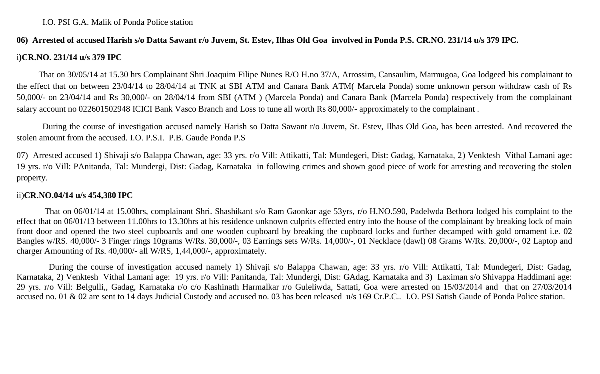## **06) Arrested of accused Harish s/o Datta Sawant r/o Juvem, St. Estev, Ilhas Old Goa involved in Ponda P.S. CR.NO. 231/14 u/s 379 IPC.**

## i**)CR.NO. 231/14 u/s 379 IPC**

That on 30/05/14 at 15.30 hrs Complainant Shri Joaquim Filipe Nunes R/O H.no 37/A, Arrossim, Cansaulim, Marmugoa, Goa lodgeed his complainant to the effect that on between 23/04/14 to 28/04/14 at TNK at SBI ATM and Canara Bank ATM( Marcela Ponda) some unknown person withdraw cash of Rs 50,000/- on 23/04/14 and Rs 30,000/- on 28/04/14 from SBI (ATM ) (Marcela Ponda) and Canara Bank (Marcela Ponda) respectively from the complainant salary account no 022601502948 ICICI Bank Vasco Branch and Loss to tune all worth Rs 80,000/- approximately to the complainant .

 During the course of investigation accused namely Harish so Datta Sawant r/o Juvem, St. Estev, Ilhas Old Goa, has been arrested. And recovered the stolen amount from the accused. I.O. P.S.I. P.B. Gaude Ponda P.S

07) Arrested accused 1) Shivaji s/o Balappa Chawan, age: 33 yrs. r/o Vill: Attikatti, Tal: Mundegeri, Dist: Gadag, Karnataka, 2) Venktesh Vithal Lamani age: 19 yrs. r/o Vill: PAnitanda, Tal: Mundergi, Dist: Gadag, Karnataka in following crimes and shown good piece of work for arresting and recovering the stolen property.

## ii)**CR.NO.04/14 u/s 454,380 IPC**

 That on 06/01/14 at 15.00hrs, complainant Shri. Shashikant s/o Ram Gaonkar age 53yrs, r/o H.NO.590, Padelwda Bethora lodged his complaint to the effect that on 06/01/13 between 11.00hrs to 13.30hrs at his residence unknown culprits effected entry into the house of the complainant by breaking lock of main front door and opened the two steel cupboards and one wooden cupboard by breaking the cupboard locks and further decamped with gold ornament i.e. 02 Bangles w/RS. 40,000/- 3 Finger rings 10grams W/Rs. 30,000/-, 03 Earrings sets W/Rs. 14,000/-, 01 Necklace (dawl) 08 Grams W/Rs. 20,000/-, 02 Laptop and charger Amounting of Rs. 40,000/- all W/RS, 1,44,000/-, approximately.

 During the course of investigation accused namely 1) Shivaji s/o Balappa Chawan, age: 33 yrs. r/o Vill: Attikatti, Tal: Mundegeri, Dist: Gadag, Karnataka, 2) Venktesh Vithal Lamani age: 19 yrs. r/o Vill: Panitanda, Tal: Mundergi, Dist: GAdag, Karnataka and 3) Laximan s/o Shivappa Haddimani age: 29 yrs. r/o Vill: Belgulli,, Gadag, Karnataka r/o c/o Kashinath Harmalkar r/o Guleliwda, Sattati, Goa were arrested on 15/03/2014 and that on 27/03/2014 accused no. 01 & 02 are sent to 14 days Judicial Custody and accused no. 03 has been released u/s 169 Cr.P.C.. I.O. PSI Satish Gaude of Ponda Police station.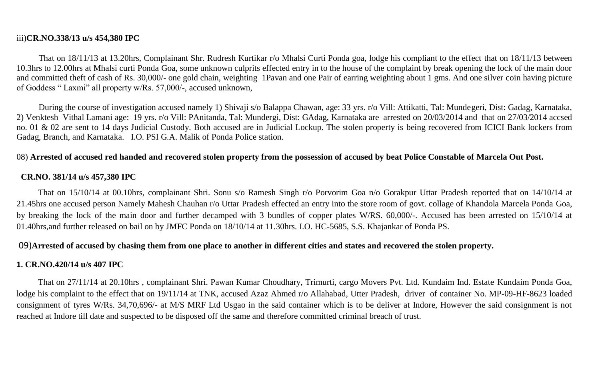#### iii)**CR.NO.338/13 u/s 454,380 IPC**

That on 18/11/13 at 13.20hrs, Complainant Shr. Rudresh Kurtikar r/o Mhalsi Curti Ponda goa, lodge his compliant to the effect that on 18/11/13 between 10.3hrs to 12.00hrs at Mhalsi curti Ponda Goa, some unknown culprits effected entry in to the house of the complaint by break opening the lock of the main door and committed theft of cash of Rs. 30,000/- one gold chain, weighting 1Pavan and one Pair of earring weighting about 1 gms. And one silver coin having picture of Goddess " Laxmi" all property w/Rs. 57,000/-, accused unknown,

During the course of investigation accused namely 1) Shivaji s/o Balappa Chawan, age: 33 yrs. r/o Vill: Attikatti, Tal: Mundegeri, Dist: Gadag, Karnataka, 2) Venktesh Vithal Lamani age: 19 yrs. r/o Vill: PAnitanda, Tal: Mundergi, Dist: GAdag, Karnataka are arrested on 20/03/2014 and that on 27/03/2014 accsed no. 01 & 02 are sent to 14 days Judicial Custody. Both accused are in Judicial Lockup. The stolen property is being recovered from ICICI Bank lockers from Gadag, Branch, and Karnataka. I.O. PSI G.A. Malik of Ponda Police station.

## 08) **Arrested of accused red handed and recovered stolen property from the possession of accused by beat Police Constable of Marcela Out Post.**

## **CR.NO. 381/14 u/s 457,380 IPC**

 That on 15/10/14 at 00.10hrs, complainant Shri. Sonu s/o Ramesh Singh r/o Porvorim Goa n/o Gorakpur Uttar Pradesh reported that on 14/10/14 at 21.45hrs one accused person Namely Mahesh Chauhan r/o Uttar Pradesh effected an entry into the store room of govt. collage of Khandola Marcela Ponda Goa, by breaking the lock of the main door and further decamped with 3 bundles of copper plates W/RS. 60,000/-. Accused has been arrested on 15/10/14 at 01.40hrs,and further released on bail on by JMFC Ponda on 18/10/14 at 11.30hrs. I.O. HC-5685, S.S. Khajankar of Ponda PS.

## 09)**Arrested of accused by chasing them from one place to another in different cities and states and recovered the stolen property.**

## **1. CR.NO.420/14 u/s 407 IPC**

 That on 27/11/14 at 20.10hrs , complainant Shri. Pawan Kumar Choudhary, Trimurti, cargo Movers Pvt. Ltd. Kundaim Ind. Estate Kundaim Ponda Goa, lodge his complaint to the effect that on 19/11/14 at TNK, accused Azaz Ahmed r/o Allahabad, Utter Pradesh, driver of container No. MP-09-HF-8623 loaded consignment of tyres W/Rs. 34,70,696/- at M/S MRF Ltd Usgao in the said container which is to be deliver at Indore, However the said consignment is not reached at Indore till date and suspected to be disposed off the same and therefore committed criminal breach of trust.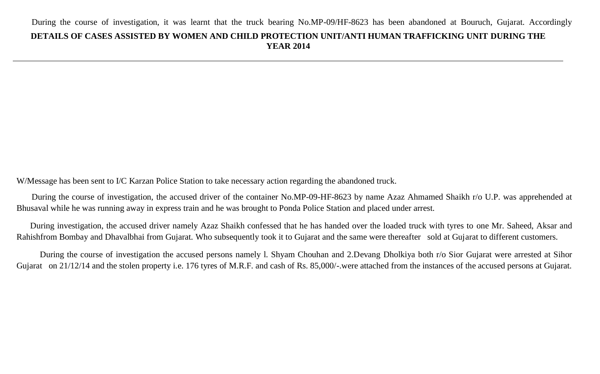W/Message has been sent to I/C Karzan Police Station to take necessary action regarding the abandoned truck.

 During the course of investigation, the accused driver of the container No.MP-09-HF-8623 by name Azaz Ahmamed Shaikh r/o U.P. was apprehended at Bhusaval while he was running away in express train and he was brought to Ponda Police Station and placed under arrest.

 During investigation, the accused driver namely Azaz Shaikh confessed that he has handed over the loaded truck with tyres to one Mr. Saheed, Aksar and Rahishfrom Bombay and Dhavalbhai from Gujarat. Who subsequently took it to Gujarat and the same were thereafter sold at Gujarat to different customers.

 During the course of investigation the accused persons namely l. Shyam Chouhan and 2.Devang Dholkiya both r/o Sior Gujarat were arrested at Sihor Gujarat on 21/12/14 and the stolen property i.e. 176 tyres of M.R.F. and cash of Rs. 85,000/-.were attached from the instances of the accused persons at Gujarat.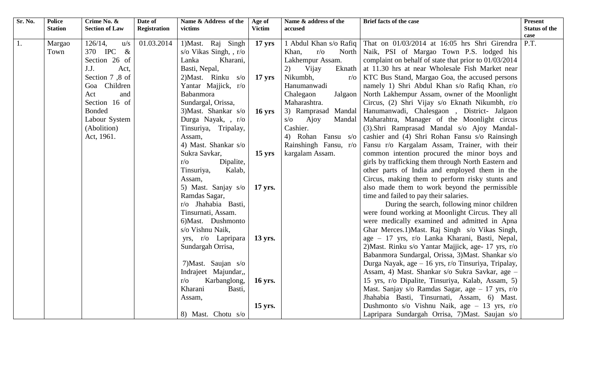| Sr. No. | <b>Police</b>  | Crime No. &           | Date of             | Name & Address of the      | Age of           | Name & address of the     | Brief facts of the case                                                | <b>Present</b>       |
|---------|----------------|-----------------------|---------------------|----------------------------|------------------|---------------------------|------------------------------------------------------------------------|----------------------|
|         | <b>Station</b> | <b>Section of Law</b> | <b>Registration</b> | victims                    | <b>Victim</b>    | accused                   |                                                                        | <b>Status of the</b> |
|         |                |                       |                     |                            |                  |                           |                                                                        | case                 |
| 1.      | Margao         | 126/14,<br>u/s        | 01.03.2014          | 1) Mast. Raj Singh         | $17 \text{ yrs}$ |                           | 1 Abdul Khan s/o Rafiq   That on 01/03/2014 at 16:05 hrs Shri Girendra | P.T.                 |
|         | Town           | 370 IPC<br>$\&$       |                     | s/o Vikas Singh, , r/o     |                  | $r/\sigma$<br>Khan,       | North Naik, PSI of Margao Town P.S. lodged his                         |                      |
|         |                | Section 26 of         |                     | Kharani,<br>Lanka          |                  | Lakhempur Assam.          | complaint on behalf of state that prior to 01/03/2014                  |                      |
|         |                | J.J.<br>Act,          |                     | Basti, Nepal,              |                  | Vijay<br>2)<br>Eknath     | at 11.30 hrs at near Wholesale Fish Market near                        |                      |
|         |                | Section 7,8 of        |                     | $2)$ Mast. Rinku s/o       | $17 \text{ yrs}$ | Nikumbh,<br>$r/\sigma$    | KTC Bus Stand, Margao Goa, the accused persons                         |                      |
|         |                | Goa Children          |                     | Yantar Majjick, r/o        |                  | Hanumanwadi               | namely 1) Shri Abdul Khan s/o Rafiq Khan, r/o                          |                      |
|         |                | Act<br>and            |                     | Babanmora                  |                  | Chalegaon<br>Jalgaon      | North Lakhempur Assam, owner of the Moonlight                          |                      |
|         |                | Section 16 of         |                     | Sundargal, Orissa,         |                  | Maharashtra.              | Circus, (2) Shri Vijay s/o Eknath Nikumbh, r/o                         |                      |
|         |                | <b>Bonded</b>         |                     | 3) Mast. Shankar s/o       | $16 \text{ yrs}$ | 3) Ramprasad Mandal       | Hanumanwadi, Chalesgaon, District- Jalgaon                             |                      |
|         |                | Labour System         |                     | Durga Nayak, , r/o         |                  | $s/\sigma$ Ajoy<br>Mandal | Maharahtra, Manager of the Moonlight circus                            |                      |
|         |                | (Abolition)           |                     | Tinsuriya, Tripalay,       |                  | Cashier.                  | (3).Shri Ramprasad Mandal s/o Ajoy Mandal-                             |                      |
|         |                | Act, 1961.            |                     | Assam,                     |                  | 4) Rohan Fansu s/o        | cashier and (4) Shri Rohan Fansu s/o Rainsingh                         |                      |
|         |                |                       |                     | 4) Mast. Shankar s/o       |                  | Rainshingh Fansu, r/o     | Fansu r/o Kargalam Assam, Trainer, with their                          |                      |
|         |                |                       |                     | Sukra Savkar,              | $15 \text{ yrs}$ | kargalam Assam.           | common intention procured the minor boys and                           |                      |
|         |                |                       |                     | Dipalite,<br>$r/\sigma$    |                  |                           | girls by trafficking them through North Eastern and                    |                      |
|         |                |                       |                     | Tinsuriya,<br>Kalab,       |                  |                           | other parts of India and employed them in the                          |                      |
|         |                |                       |                     | Assam,                     |                  |                           | Circus, making them to perform risky stunts and                        |                      |
|         |                |                       |                     | 5) Mast. Sanjay s/o        | 17 yrs.          |                           | also made them to work beyond the permissible                          |                      |
|         |                |                       |                     | Ramdas Sagar,              |                  |                           | time and failed to pay their salaries.                                 |                      |
|         |                |                       |                     | r/o Jhahabia Basti,        |                  |                           | During the search, following minor children                            |                      |
|         |                |                       |                     | Tinsurnati, Assam.         |                  |                           | were found working at Moonlight Circus. They all                       |                      |
|         |                |                       |                     | 6) Mast. Dushmonto         |                  |                           | were medically examined and admitted in Apna                           |                      |
|         |                |                       |                     | s/o Vishnu Naik,           |                  |                           | Ghar Merces.1) Mast. Raj Singh s/o Vikas Singh,                        |                      |
|         |                |                       |                     | yrs, r/o Lapripara         | 13 yrs.          |                           | age - 17 yrs, r/o Lanka Kharani, Basti, Nepal,                         |                      |
|         |                |                       |                     | Sundargah Orrisa,          |                  |                           | 2) Mast. Rinku s/o Yantar Majjick, age- 17 yrs, r/o                    |                      |
|         |                |                       |                     |                            |                  |                           | Babanmora Sundargal, Orissa, 3)Mast. Shankar s/o                       |                      |
|         |                |                       |                     | 7) Mast. Saujan s/o        |                  |                           | Durga Nayak, age – 16 yrs, r/o Tinsuriya, Tripalay,                    |                      |
|         |                |                       |                     | Indrajeet Majundar,,       |                  |                           | Assam, 4) Mast. Shankar s/o Sukra Savkar, age -                        |                      |
|         |                |                       |                     | Karbanglong,<br>$r/\sigma$ | 16 yrs.          |                           | 15 yrs, r/o Dipalite, Tinsuriya, Kalab, Assam, 5)                      |                      |
|         |                |                       |                     | Kharani<br>Basti,          |                  |                           | Mast. Sanjay s/o Ramdas Sagar, age $-17$ yrs, r/o                      |                      |
|         |                |                       |                     | Assam,                     |                  |                           | Jhahabia Basti, Tinsurnati, Assam, 6) Mast.                            |                      |
|         |                |                       |                     |                            | 15 yrs.          |                           | Dushmonto s/o Vishnu Naik, age $-13$ yrs, r/o                          |                      |
|         |                |                       |                     | 8) Mast. Chotu s/o         |                  |                           | Lapripara Sundargah Orrisa, 7) Mast. Saujan s/o                        |                      |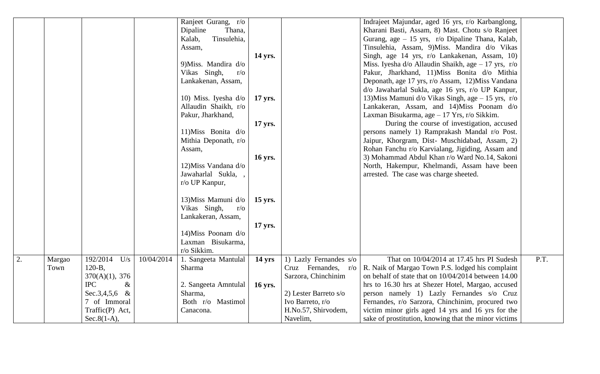|    |                |                                                                                         |            | Ranjeet Gurang, r/o<br>Dipaline<br>Thana,<br>Tinsulehia,<br>Kalab,<br>Assam,<br>9) Miss. Mandira d/o | 14 yrs.        |                                                                              | Indraject Majundar, aged 16 yrs, r/o Karbanglong,<br>Kharani Basti, Assam, 8) Mast. Chotu s/o Ranjeet<br>Gurang, age $-15$ yrs, r/o Dipaline Thana, Kalab,<br>Tinsulehia, Assam, 9)Miss. Mandira d/o Vikas<br>Singh, age 14 yrs, r/o Lankakenan, Assam, 10)<br>Miss. Iyesha d/o Allaudin Shaikh, age $-17$ yrs, r/o |      |
|----|----------------|-----------------------------------------------------------------------------------------|------------|------------------------------------------------------------------------------------------------------|----------------|------------------------------------------------------------------------------|---------------------------------------------------------------------------------------------------------------------------------------------------------------------------------------------------------------------------------------------------------------------------------------------------------------------|------|
|    |                |                                                                                         |            | Vikas Singh,<br>$r/\mathrm{o}$<br>Lankakenan, Assam,<br>10) Miss. Iyesha d/o                         | 17 yrs.        |                                                                              | Pakur, Jharkhand, 11)Miss Bonita d/o Mithia<br>Deponath, age 17 yrs, r/o Assam, 12)Miss Vandana<br>d/o Jawaharlal Sukla, age 16 yrs, r/o UP Kanpur,<br>13) Miss Mamuni d/o Vikas Singh, age - 15 yrs, r/o                                                                                                           |      |
|    |                |                                                                                         |            | Allaudin Shaikh, r/o<br>Pakur, Jharkhand,                                                            | 17 yrs.        |                                                                              | Lankakeran, Assam, and 14)Miss Poonam d/o<br>Laxman Bisukarma, age - 17 Yrs, r/o Sikkim.<br>During the course of investigation, accused                                                                                                                                                                             |      |
|    |                |                                                                                         |            | 11) Miss Bonita d/o<br>Mithia Deponath, r/o<br>Assam,                                                | 16 yrs.        |                                                                              | persons namely 1) Ramprakash Mandal r/o Post.<br>Jaipur, Khorgram, Dist- Muschidabad, Assam, 2)<br>Rohan Fanchu r/o Karvialang, Jigiding, Assam and<br>3) Mohammad Abdul Khan r/o Ward No.14, Sakoni                                                                                                                |      |
|    |                |                                                                                         |            | 12) Miss Vandana d/o<br>Jawaharlal Sukla,<br>r/o UP Kanpur,                                          |                |                                                                              | North, Hakempur, Khelmandi, Assam have been<br>arrested. The case was charge sheeted.                                                                                                                                                                                                                               |      |
|    |                |                                                                                         |            | 13) Miss Mamuni d/o<br>Vikas Singh,<br>$r/\sigma$<br>Lankakeran, Assam,                              | 15 yrs.        |                                                                              |                                                                                                                                                                                                                                                                                                                     |      |
|    |                |                                                                                         |            | 14) Miss Poonam $d$ /o<br>Laxman Bisukarma,<br>r/o Sikkim.                                           | 17 yrs.        |                                                                              |                                                                                                                                                                                                                                                                                                                     |      |
| 2. | Margao<br>Town | 192/2014<br>U/s<br>$120-B$ ,<br>$370(A)(1)$ , 376                                       | 10/04/2014 | 1. Sangeeta Mantulal<br>Sharma                                                                       | 14 yrs         | 1) Lazly Fernandes s/o<br>Cruz Fernandes, r/o<br>Sarzora, Chinchinim         | That on 10/04/2014 at 17.45 hrs PI Sudesh<br>R. Naik of Margao Town P.S. lodged his complaint<br>on behalf of state that on 10/04/2014 between 14.00                                                                                                                                                                | P.T. |
|    |                | <b>IPC</b><br>$\&$<br>Sec.3,4,5,6 &<br>7 of Immoral<br>Traffic(P) Act,<br>$Sec.8(1-A),$ |            | 2. Sangeeta Amntulal<br>Sharma,<br>Both r/o Mastimol<br>Canacona.                                    | <b>16 yrs.</b> | 2) Lester Barreto s/o<br>Ivo Barreto, r/o<br>H.No.57, Shirvodem,<br>Navelim, | hrs to 16.30 hrs at Shezer Hotel, Margao, accused<br>person namely 1) Lazly Fernandes s/o Cruz<br>Fernandes, r/o Sarzora, Chinchinim, procured two<br>victim minor girls aged 14 yrs and 16 yrs for the<br>sake of prostitution, knowing that the minor victims                                                     |      |